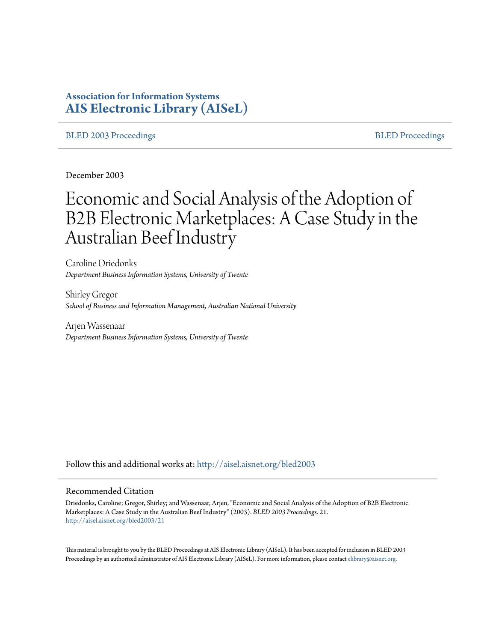# **Association for Information Systems [AIS Electronic Library \(AISeL\)](http://aisel.aisnet.org?utm_source=aisel.aisnet.org%2Fbled2003%2F21&utm_medium=PDF&utm_campaign=PDFCoverPages)**

## [BLED 2003 Proceedings](http://aisel.aisnet.org/bled2003?utm_source=aisel.aisnet.org%2Fbled2003%2F21&utm_medium=PDF&utm_campaign=PDFCoverPages) and the state of the state of the [BLED Proceedings](http://aisel.aisnet.org/bled?utm_source=aisel.aisnet.org%2Fbled2003%2F21&utm_medium=PDF&utm_campaign=PDFCoverPages) and the BLED Proceedings and the BLED Proceedings and the BLED Proceedings and the BLED Proceedings and the BLED Proceedings and the BLED Proceedings

December 2003

# Economic and Social Analysis of the Adoption of B2B Electronic Marketplaces: A Case Study in the Australian Beef Industry

Caroline Driedonks *Department Business Information Systems, University of Twente*

Shirley Gregor *School of Business and Information Management, Australian National University*

Arjen Wassenaar *Department Business Information Systems, University of Twente*

Follow this and additional works at: [http://aisel.aisnet.org/bled2003](http://aisel.aisnet.org/bled2003?utm_source=aisel.aisnet.org%2Fbled2003%2F21&utm_medium=PDF&utm_campaign=PDFCoverPages)

## Recommended Citation

Driedonks, Caroline; Gregor, Shirley; and Wassenaar, Arjen, "Economic and Social Analysis of the Adoption of B2B Electronic Marketplaces: A Case Study in the Australian Beef Industry" (2003). *BLED 2003 Proceedings*. 21. [http://aisel.aisnet.org/bled2003/21](http://aisel.aisnet.org/bled2003/21?utm_source=aisel.aisnet.org%2Fbled2003%2F21&utm_medium=PDF&utm_campaign=PDFCoverPages)

This material is brought to you by the BLED Proceedings at AIS Electronic Library (AISeL). It has been accepted for inclusion in BLED 2003 Proceedings by an authorized administrator of AIS Electronic Library (AISeL). For more information, please contact [elibrary@aisnet.org](mailto:elibrary@aisnet.org%3E).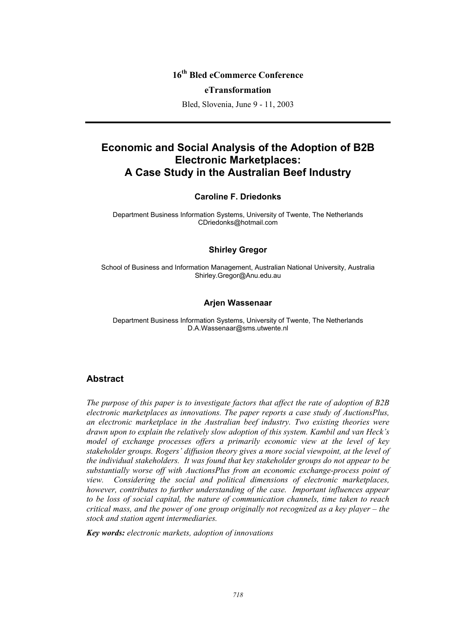# **16th Bled eCommerce Conference**

## **eTransformation**

Bled, Slovenia, June 9 - 11, 2003

# **Economic and Social Analysis of the Adoption of B2B Electronic Marketplaces: A Case Study in the Australian Beef Industry**

## **Caroline F. Driedonks**

Department Business Information Systems, University of Twente, The Netherlands CDriedonks@hotmail.com

## **Shirley Gregor**

School of Business and Information Management, Australian National University, Australia Shirley.Gregor@Anu.edu.au

## **Arjen Wassenaar**

Department Business Information Systems, University of Twente, The Netherlands D.A.Wassenaar@sms.utwente.nl

## **Abstract**

*The purpose of this paper is to investigate factors that affect the rate of adoption of B2B electronic marketplaces as innovations. The paper reports a case study of AuctionsPlus, an electronic marketplace in the Australian beef industry. Two existing theories were drawn upon to explain the relatively slow adoption of this system. Kambil and van Heck's model of exchange processes offers a primarily economic view at the level of key stakeholder groups. Rogers' diffusion theory gives a more social viewpoint, at the level of the individual stakeholders. It was found that key stakeholder groups do not appear to be substantially worse off with AuctionsPlus from an economic exchange-process point of view. Considering the social and political dimensions of electronic marketplaces, however, contributes to further understanding of the case. Important influences appear to be loss of social capital, the nature of communication channels, time taken to reach critical mass, and the power of one group originally not recognized as a key player – the stock and station agent intermediaries.* 

*Key words: electronic markets, adoption of innovations*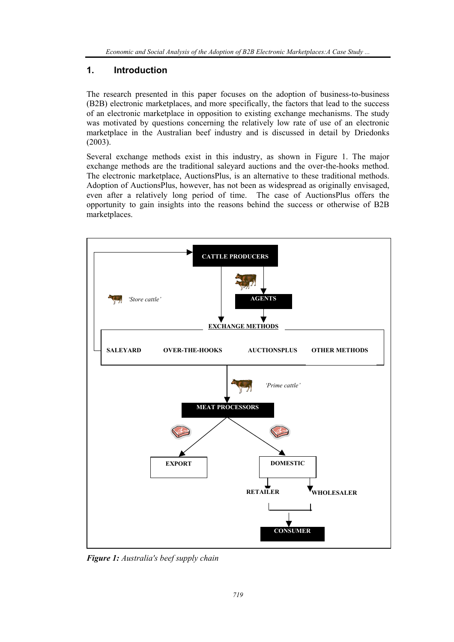# **1. Introduction**

The research presented in this paper focuses on the adoption of business-to-business (B2B) electronic marketplaces, and more specifically, the factors that lead to the success of an electronic marketplace in opposition to existing exchange mechanisms. The study was motivated by questions concerning the relatively low rate of use of an electronic marketplace in the Australian beef industry and is discussed in detail by Driedonks (2003).

Several exchange methods exist in this industry, as shown in Figure 1. The major exchange methods are the traditional saleyard auctions and the over-the-hooks method. The electronic marketplace, AuctionsPlus, is an alternative to these traditional methods. Adoption of AuctionsPlus, however, has not been as widespread as originally envisaged, even after a relatively long period of time. The case of AuctionsPlus offers the opportunity to gain insights into the reasons behind the success or otherwise of B2B marketplaces.



*Figure 1: Australia's beef supply chain*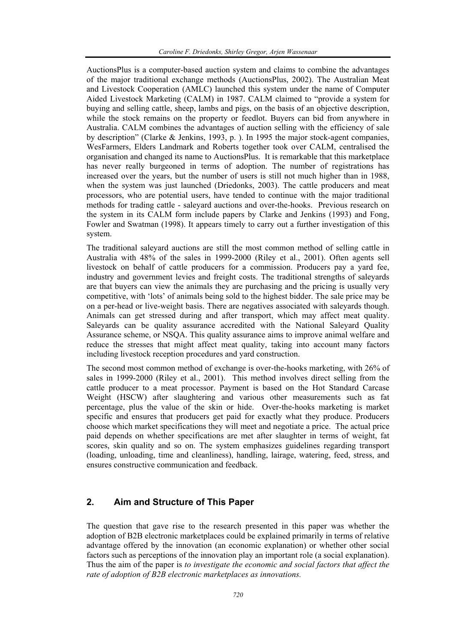AuctionsPlus is a computer-based auction system and claims to combine the advantages of the major traditional exchange methods (AuctionsPlus, 2002). The Australian Meat and Livestock Cooperation (AMLC) launched this system under the name of Computer Aided Livestock Marketing (CALM) in 1987. CALM claimed to "provide a system for buying and selling cattle, sheep, lambs and pigs, on the basis of an objective description, while the stock remains on the property or feedlot. Buyers can bid from anywhere in Australia. CALM combines the advantages of auction selling with the efficiency of sale by description" (Clarke & Jenkins, 1993, p. ). In 1995 the major stock-agent companies, WesFarmers, Elders Landmark and Roberts together took over CALM, centralised the organisation and changed its name to AuctionsPlus. It is remarkable that this marketplace has never really burgeoned in terms of adoption. The number of registrations has increased over the years, but the number of users is still not much higher than in 1988, when the system was just launched (Driedonks, 2003). The cattle producers and meat processors, who are potential users, have tended to continue with the major traditional methods for trading cattle - saleyard auctions and over-the-hooks. Previous research on the system in its CALM form include papers by Clarke and Jenkins (1993) and Fong, Fowler and Swatman (1998). It appears timely to carry out a further investigation of this system.

The traditional saleyard auctions are still the most common method of selling cattle in Australia with 48% of the sales in 1999-2000 (Riley et al., 2001). Often agents sell livestock on behalf of cattle producers for a commission. Producers pay a yard fee, industry and government levies and freight costs. The traditional strengths of saleyards are that buyers can view the animals they are purchasing and the pricing is usually very competitive, with 'lots' of animals being sold to the highest bidder. The sale price may be on a per-head or live-weight basis. There are negatives associated with saleyards though. Animals can get stressed during and after transport, which may affect meat quality. Saleyards can be quality assurance accredited with the National Saleyard Quality Assurance scheme, or NSQA. This quality assurance aims to improve animal welfare and reduce the stresses that might affect meat quality, taking into account many factors including livestock reception procedures and yard construction.

The second most common method of exchange is over-the-hooks marketing, with 26% of sales in 1999-2000 (Riley et al., 2001). This method involves direct selling from the cattle producer to a meat processor. Payment is based on the Hot Standard Carcase Weight (HSCW) after slaughtering and various other measurements such as fat percentage, plus the value of the skin or hide. Over-the-hooks marketing is market specific and ensures that producers get paid for exactly what they produce. Producers choose which market specifications they will meet and negotiate a price. The actual price paid depends on whether specifications are met after slaughter in terms of weight, fat scores, skin quality and so on. The system emphasizes guidelines regarding transport (loading, unloading, time and cleanliness), handling, lairage, watering, feed, stress, and ensures constructive communication and feedback.

# **2. Aim and Structure of This Paper**

The question that gave rise to the research presented in this paper was whether the adoption of B2B electronic marketplaces could be explained primarily in terms of relative advantage offered by the innovation (an economic explanation) or whether other social factors such as perceptions of the innovation play an important role (a social explanation). Thus the aim of the paper is *to investigate the economic and social factors that affect the rate of adoption of B2B electronic marketplaces as innovations.*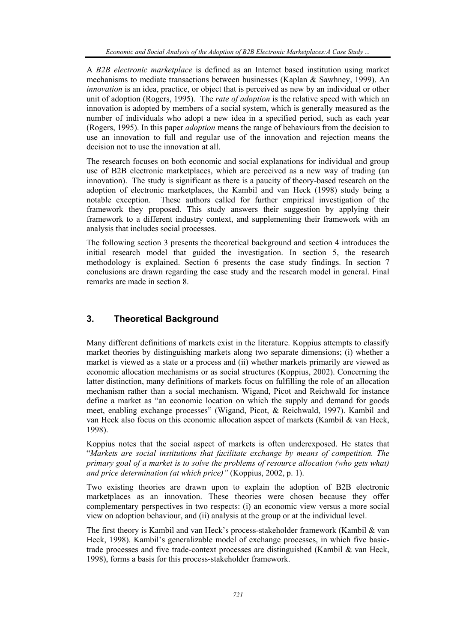A *B2B electronic marketplace* is defined as an Internet based institution using market mechanisms to mediate transactions between businesses (Kaplan & Sawhney, 1999). An *innovation* is an idea, practice, or object that is perceived as new by an individual or other unit of adoption (Rogers, 1995). The *rate of adoption* is the relative speed with which an innovation is adopted by members of a social system, which is generally measured as the number of individuals who adopt a new idea in a specified period, such as each year (Rogers, 1995). In this paper *adoption* means the range of behaviours from the decision to use an innovation to full and regular use of the innovation and rejection means the decision not to use the innovation at all.

The research focuses on both economic and social explanations for individual and group use of B2B electronic marketplaces, which are perceived as a new way of trading (an innovation). The study is significant as there is a paucity of theory-based research on the adoption of electronic marketplaces, the Kambil and van Heck (1998) study being a notable exception. These authors called for further empirical investigation of the framework they proposed. This study answers their suggestion by applying their framework to a different industry context, and supplementing their framework with an analysis that includes social processes.

The following section 3 presents the theoretical background and section 4 introduces the initial research model that guided the investigation. In section 5, the research methodology is explained. Section 6 presents the case study findings. In section 7 conclusions are drawn regarding the case study and the research model in general. Final remarks are made in section 8.

# **3. Theoretical Background**

Many different definitions of markets exist in the literature. Koppius attempts to classify market theories by distinguishing markets along two separate dimensions; (i) whether a market is viewed as a state or a process and (ii) whether markets primarily are viewed as economic allocation mechanisms or as social structures (Koppius, 2002). Concerning the latter distinction, many definitions of markets focus on fulfilling the role of an allocation mechanism rather than a social mechanism. Wigand, Picot and Reichwald for instance define a market as "an economic location on which the supply and demand for goods meet, enabling exchange processes" (Wigand, Picot, & Reichwald, 1997). Kambil and van Heck also focus on this economic allocation aspect of markets (Kambil & van Heck, 1998).

Koppius notes that the social aspect of markets is often underexposed. He states that "*Markets are social institutions that facilitate exchange by means of competition. The primary goal of a market is to solve the problems of resource allocation (who gets what) and price determination (at which price)"* (Koppius, 2002, p. 1).

Two existing theories are drawn upon to explain the adoption of B2B electronic marketplaces as an innovation. These theories were chosen because they offer complementary perspectives in two respects: (i) an economic view versus a more social view on adoption behaviour, and (ii) analysis at the group or at the individual level.

The first theory is Kambil and van Heck's process-stakeholder framework (Kambil & van Heck, 1998). Kambil's generalizable model of exchange processes, in which five basictrade processes and five trade-context processes are distinguished (Kambil & van Heck, 1998), forms a basis for this process-stakeholder framework.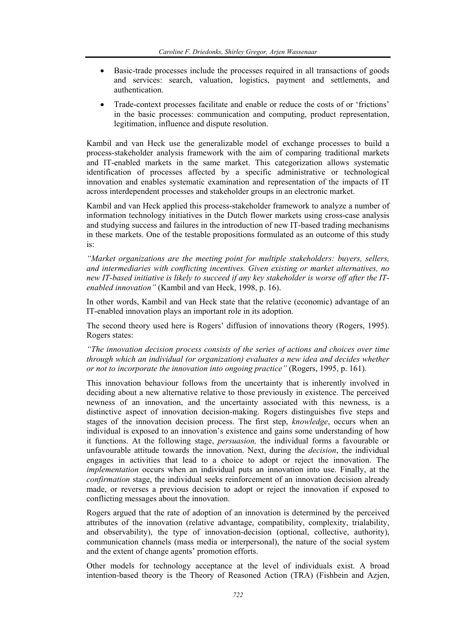- Basic-trade processes include the processes required in all transactions of goods and services: search, valuation, logistics, payment and settlements, and authentication.
- Trade-context processes facilitate and enable or reduce the costs of or 'frictions' in the basic processes: communication and computing, product representation, legitimation, influence and dispute resolution.

Kambil and van Heck use the generalizable model of exchange processes to build a process-stakeholder analysis framework with the aim of comparing traditional markets and IT-enabled markets in the same market. This categorization allows systematic identification of processes affected by a specific administrative or technological innovation and enables systematic examination and representation of the impacts of IT across interdependent processes and stakeholder groups in an electronic market.

Kambil and van Heck applied this process-stakeholder framework to analyze a number of information technology initiatives in the Dutch flower markets using cross-case analysis and studying success and failures in the introduction of new IT-based trading mechanisms in these markets. One of the testable propositions formulated as an outcome of this study is:

*"Market organizations are the meeting point for multiple stakeholders: buyers, sellers, and intermediaries with conflicting incentives. Given existing or market alternatives, no new IT-based initiative is likely to succeed if any key stakeholder is worse off after the ITenabled innovation"* (Kambil and van Heck, 1998, p. 16).

In other words, Kambil and van Heck state that the relative (economic) advantage of an IT-enabled innovation plays an important role in its adoption.

The second theory used here is Rogers' diffusion of innovations theory (Rogers, 1995). Rogers states:

*"The innovation decision process consists of the series of actions and choices over time through which an individual (or organization) evaluates a new idea and decides whether or not to incorporate the innovation into ongoing practice"* (Rogers, 1995, p. 161)*.*

This innovation behaviour follows from the uncertainty that is inherently involved in deciding about a new alternative relative to those previously in existence. The perceived newness of an innovation, and the uncertainty associated with this newness, is a distinctive aspect of innovation decision-making. Rogers distinguishes five steps and stages of the innovation decision process. The first step, *knowledge*, occurs when an individual is exposed to an innovation's existence and gains some understanding of how it functions. At the following stage, *persuasion,* the individual forms a favourable or unfavourable attitude towards the innovation. Next, during the *decision*, the individual engages in activities that lead to a choice to adopt or reject the innovation. The *implementation* occurs when an individual puts an innovation into use. Finally, at the *confirmation* stage, the individual seeks reinforcement of an innovation decision already made, or reverses a previous decision to adopt or reject the innovation if exposed to conflicting messages about the innovation.

Rogers argued that the rate of adoption of an innovation is determined by the perceived attributes of the innovation (relative advantage, compatibility, complexity, trialability, and observability), the type of innovation-decision (optional, collective, authority), communication channels (mass media or interpersonal), the nature of the social system and the extent of change agents' promotion efforts.

Other models for technology acceptance at the level of individuals exist. A broad intention-based theory is the Theory of Reasoned Action (TRA) (Fishbein and Azjen,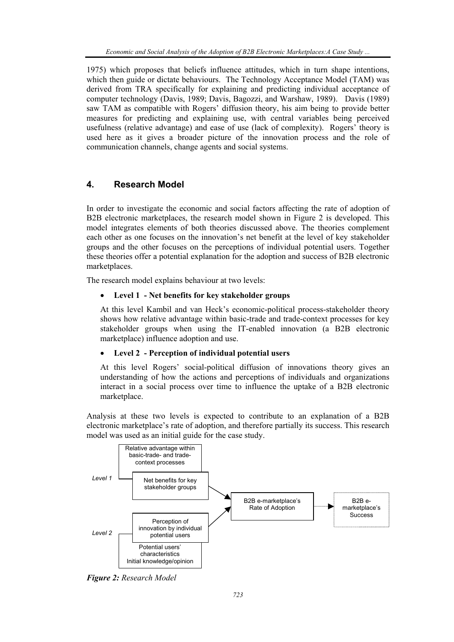1975) which proposes that beliefs influence attitudes, which in turn shape intentions, which then guide or dictate behaviours. The Technology Acceptance Model (TAM) was derived from TRA specifically for explaining and predicting individual acceptance of computer technology (Davis, 1989; Davis, Bagozzi, and Warshaw, 1989). Davis (1989) saw TAM as compatible with Rogers' diffusion theory, his aim being to provide better measures for predicting and explaining use, with central variables being perceived usefulness (relative advantage) and ease of use (lack of complexity). Rogers' theory is used here as it gives a broader picture of the innovation process and the role of communication channels, change agents and social systems.

## **4. Research Model**

In order to investigate the economic and social factors affecting the rate of adoption of B2B electronic marketplaces, the research model shown in Figure 2 is developed. This model integrates elements of both theories discussed above. The theories complement each other as one focuses on the innovation's net benefit at the level of key stakeholder groups and the other focuses on the perceptions of individual potential users. Together these theories offer a potential explanation for the adoption and success of B2B electronic marketplaces.

The research model explains behaviour at two levels:

## • **Level 1 - Net benefits for key stakeholder groups**

At this level Kambil and van Heck's economic-political process-stakeholder theory shows how relative advantage within basic-trade and trade-context processes for key stakeholder groups when using the IT-enabled innovation (a B2B electronic marketplace) influence adoption and use.

## • **Level 2 - Perception of individual potential users**

At this level Rogers' social-political diffusion of innovations theory gives an understanding of how the actions and perceptions of individuals and organizations interact in a social process over time to influence the uptake of a B2B electronic marketplace.

Analysis at these two levels is expected to contribute to an explanation of a B2B electronic marketplace's rate of adoption, and therefore partially its success. This research model was used as an initial guide for the case study.



*Figure 2: Research Model*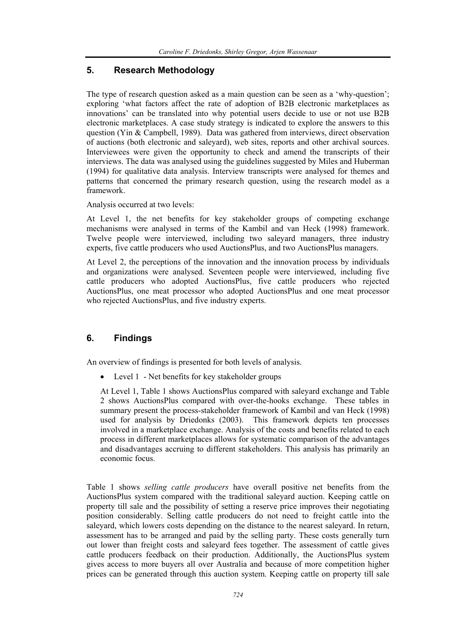# **5. Research Methodology**

The type of research question asked as a main question can be seen as a 'why-question'; exploring 'what factors affect the rate of adoption of B2B electronic marketplaces as innovations' can be translated into why potential users decide to use or not use B2B electronic marketplaces. A case study strategy is indicated to explore the answers to this question (Yin & Campbell, 1989). Data was gathered from interviews, direct observation of auctions (both electronic and saleyard), web sites, reports and other archival sources. Interviewees were given the opportunity to check and amend the transcripts of their interviews. The data was analysed using the guidelines suggested by Miles and Huberman (1994) for qualitative data analysis. Interview transcripts were analysed for themes and patterns that concerned the primary research question, using the research model as a framework.

Analysis occurred at two levels:

At Level 1, the net benefits for key stakeholder groups of competing exchange mechanisms were analysed in terms of the Kambil and van Heck (1998) framework. Twelve people were interviewed, including two saleyard managers, three industry experts, five cattle producers who used AuctionsPlus, and two AuctionsPlus managers.

At Level 2, the perceptions of the innovation and the innovation process by individuals and organizations were analysed. Seventeen people were interviewed, including five cattle producers who adopted AuctionsPlus, five cattle producers who rejected AuctionsPlus, one meat processor who adopted AuctionsPlus and one meat processor who rejected AuctionsPlus, and five industry experts.

# **6. Findings**

An overview of findings is presented for both levels of analysis.

Level 1 - Net benefits for key stakeholder groups

At Level 1, Table 1 shows AuctionsPlus compared with saleyard exchange and Table 2 shows AuctionsPlus compared with over-the-hooks exchange. These tables in summary present the process-stakeholder framework of Kambil and van Heck (1998) used for analysis by Driedonks (2003). This framework depicts ten processes involved in a marketplace exchange. Analysis of the costs and benefits related to each process in different marketplaces allows for systematic comparison of the advantages and disadvantages accruing to different stakeholders. This analysis has primarily an economic focus.

Table 1 shows *selling cattle producers* have overall positive net benefits from the AuctionsPlus system compared with the traditional saleyard auction. Keeping cattle on property till sale and the possibility of setting a reserve price improves their negotiating position considerably. Selling cattle producers do not need to freight cattle into the saleyard, which lowers costs depending on the distance to the nearest saleyard. In return, assessment has to be arranged and paid by the selling party. These costs generally turn out lower than freight costs and saleyard fees together. The assessment of cattle gives cattle producers feedback on their production. Additionally, the AuctionsPlus system gives access to more buyers all over Australia and because of more competition higher prices can be generated through this auction system. Keeping cattle on property till sale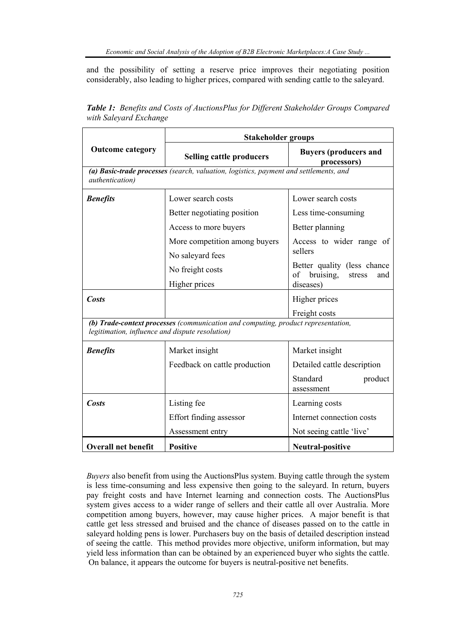and the possibility of setting a reserve price improves their negotiating position considerably, also leading to higher prices, compared with sending cattle to the saleyard.

|                                                                                                                                      | <b>Stakeholder groups</b>       |                                                                                                     |  |  |  |  |
|--------------------------------------------------------------------------------------------------------------------------------------|---------------------------------|-----------------------------------------------------------------------------------------------------|--|--|--|--|
| <b>Outcome category</b>                                                                                                              | <b>Selling cattle producers</b> | <b>Buyers (producers and</b><br>processors)                                                         |  |  |  |  |
| (a) Basic-trade processes (search, valuation, logistics, payment and settlements, and<br><i>authentication</i> )                     |                                 |                                                                                                     |  |  |  |  |
| <b>Benefits</b>                                                                                                                      | Lower search costs              | Lower search costs<br>Less time-consuming<br>Better planning<br>Access to wider range of<br>sellers |  |  |  |  |
|                                                                                                                                      | Better negotiating position     |                                                                                                     |  |  |  |  |
|                                                                                                                                      | Access to more buyers           |                                                                                                     |  |  |  |  |
|                                                                                                                                      | More competition among buyers   |                                                                                                     |  |  |  |  |
|                                                                                                                                      | No saleyard fees                |                                                                                                     |  |  |  |  |
|                                                                                                                                      | No freight costs                | Better quality (less chance<br>of bruising,<br>stress<br>and                                        |  |  |  |  |
|                                                                                                                                      | Higher prices                   | diseases)                                                                                           |  |  |  |  |
| <b>Costs</b>                                                                                                                         | Higher prices                   |                                                                                                     |  |  |  |  |
|                                                                                                                                      |                                 | Freight costs                                                                                       |  |  |  |  |
| (b) Trade-context processes (communication and computing, product representation,<br>legitimation, influence and dispute resolution) |                                 |                                                                                                     |  |  |  |  |
| <b>Benefits</b>                                                                                                                      | Market insight                  | Market insight                                                                                      |  |  |  |  |
|                                                                                                                                      | Feedback on cattle production   | Detailed cattle description                                                                         |  |  |  |  |
|                                                                                                                                      |                                 | Standard<br>product<br>assessment                                                                   |  |  |  |  |
| <b>Costs</b>                                                                                                                         | Listing fee                     | Learning costs<br>Internet connection costs<br>Not seeing cattle 'live'                             |  |  |  |  |
|                                                                                                                                      | Effort finding assessor         |                                                                                                     |  |  |  |  |
|                                                                                                                                      | Assessment entry                |                                                                                                     |  |  |  |  |
| <b>Overall net benefit</b>                                                                                                           | <b>Positive</b>                 | Neutral-positive                                                                                    |  |  |  |  |

*Table 1: Benefits and Costs of AuctionsPlus for Different Stakeholder Groups Compared with Saleyard Exchange* 

*Buyers* also benefit from using the AuctionsPlus system. Buying cattle through the system is less time-consuming and less expensive then going to the saleyard. In return, buyers pay freight costs and have Internet learning and connection costs. The AuctionsPlus system gives access to a wider range of sellers and their cattle all over Australia. More competition among buyers, however, may cause higher prices. A major benefit is that cattle get less stressed and bruised and the chance of diseases passed on to the cattle in saleyard holding pens is lower. Purchasers buy on the basis of detailed description instead of seeing the cattle. This method provides more objective, uniform information, but may yield less information than can be obtained by an experienced buyer who sights the cattle. On balance, it appears the outcome for buyers is neutral-positive net benefits.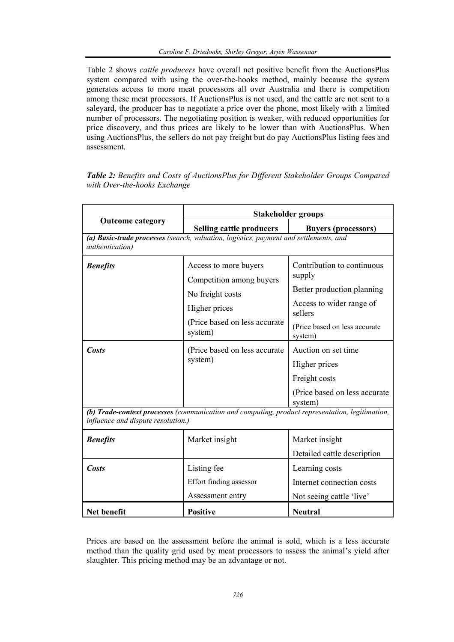Table 2 shows *cattle producers* have overall net positive benefit from the AuctionsPlus system compared with using the over-the-hooks method, mainly because the system generates access to more meat processors all over Australia and there is competition among these meat processors. If AuctionsPlus is not used, and the cattle are not sent to a saleyard, the producer has to negotiate a price over the phone, most likely with a limited number of processors. The negotiating position is weaker, with reduced opportunities for price discovery, and thus prices are likely to be lower than with AuctionsPlus. When using AuctionsPlus, the sellers do not pay freight but do pay AuctionsPlus listing fees and assessment.

|                                                                                                                                       | Stakeholder groups                                                                                                                  |                                                                                                                                                        |  |  |  |  |
|---------------------------------------------------------------------------------------------------------------------------------------|-------------------------------------------------------------------------------------------------------------------------------------|--------------------------------------------------------------------------------------------------------------------------------------------------------|--|--|--|--|
| <b>Outcome category</b>                                                                                                               | Selling cattle producers                                                                                                            | <b>Buyers (processors)</b>                                                                                                                             |  |  |  |  |
| (a) Basic-trade processes (search, valuation, logistics, payment and settlements, and<br><i>authentication</i> )                      |                                                                                                                                     |                                                                                                                                                        |  |  |  |  |
| <b>Benefits</b>                                                                                                                       | Access to more buyers<br>Competition among buyers<br>No freight costs<br>Higher prices<br>(Price based on less accurate)<br>system) | Contribution to continuous<br>supply<br>Better production planning<br>Access to wider range of<br>sellers<br>(Price based on less accurate)<br>system) |  |  |  |  |
| Costs                                                                                                                                 | (Price based on less accurate)<br>system)                                                                                           | Auction on set time<br>Higher prices<br>Freight costs<br>(Price based on less accurate<br>system)                                                      |  |  |  |  |
| (b) Trade-context processes (communication and computing, product representation, legitimation,<br>influence and dispute resolution.) |                                                                                                                                     |                                                                                                                                                        |  |  |  |  |
| <b>Benefits</b>                                                                                                                       | Market insight                                                                                                                      | Market insight<br>Detailed cattle description                                                                                                          |  |  |  |  |
| <b>Costs</b>                                                                                                                          | Listing fee<br>Effort finding assessor<br>Assessment entry                                                                          | Learning costs<br>Internet connection costs<br>Not seeing cattle 'live'                                                                                |  |  |  |  |
| Net benefit                                                                                                                           | <b>Positive</b>                                                                                                                     | <b>Neutral</b>                                                                                                                                         |  |  |  |  |

*Table 2: Benefits and Costs of AuctionsPlus for Different Stakeholder Groups Compared with Over-the-hooks Exchange* 

Prices are based on the assessment before the animal is sold, which is a less accurate method than the quality grid used by meat processors to assess the animal's yield after slaughter. This pricing method may be an advantage or not.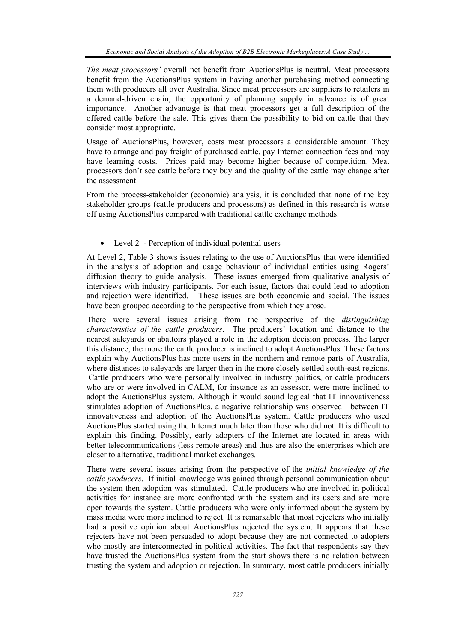*The meat processors'* overall net benefit from AuctionsPlus is neutral. Meat processors benefit from the AuctionsPlus system in having another purchasing method connecting them with producers all over Australia. Since meat processors are suppliers to retailers in a demand-driven chain, the opportunity of planning supply in advance is of great importance. Another advantage is that meat processors get a full description of the offered cattle before the sale. This gives them the possibility to bid on cattle that they consider most appropriate.

Usage of AuctionsPlus, however, costs meat processors a considerable amount. They have to arrange and pay freight of purchased cattle, pay Internet connection fees and may have learning costs. Prices paid may become higher because of competition. Meat processors don't see cattle before they buy and the quality of the cattle may change after the assessment.

From the process-stakeholder (economic) analysis, it is concluded that none of the key stakeholder groups (cattle producers and processors) as defined in this research is worse off using AuctionsPlus compared with traditional cattle exchange methods.

• Level 2 - Perception of individual potential users

At Level 2, Table 3 shows issues relating to the use of AuctionsPlus that were identified in the analysis of adoption and usage behaviour of individual entities using Rogers' diffusion theory to guide analysis. These issues emerged from qualitative analysis of interviews with industry participants. For each issue, factors that could lead to adoption and rejection were identified. These issues are both economic and social. The issues have been grouped according to the perspective from which they arose.

There were several issues arising from the perspective of the *distinguishing characteristics of the cattle producers*. The producers' location and distance to the nearest saleyards or abattoirs played a role in the adoption decision process. The larger this distance, the more the cattle producer is inclined to adopt AuctionsPlus. These factors explain why AuctionsPlus has more users in the northern and remote parts of Australia, where distances to saleyards are larger then in the more closely settled south-east regions. Cattle producers who were personally involved in industry politics, or cattle producers who are or were involved in CALM, for instance as an assessor, were more inclined to adopt the AuctionsPlus system. Although it would sound logical that IT innovativeness stimulates adoption of AuctionsPlus, a negative relationship was observed between IT innovativeness and adoption of the AuctionsPlus system. Cattle producers who used AuctionsPlus started using the Internet much later than those who did not. It is difficult to explain this finding. Possibly, early adopters of the Internet are located in areas with better telecommunications (less remote areas) and thus are also the enterprises which are closer to alternative, traditional market exchanges.

There were several issues arising from the perspective of the *initial knowledge of the cattle producers*. If initial knowledge was gained through personal communication about the system then adoption was stimulated. Cattle producers who are involved in political activities for instance are more confronted with the system and its users and are more open towards the system. Cattle producers who were only informed about the system by mass media were more inclined to reject. It is remarkable that most rejecters who initially had a positive opinion about AuctionsPlus rejected the system. It appears that these rejecters have not been persuaded to adopt because they are not connected to adopters who mostly are interconnected in political activities. The fact that respondents say they have trusted the AuctionsPlus system from the start shows there is no relation between trusting the system and adoption or rejection. In summary, most cattle producers initially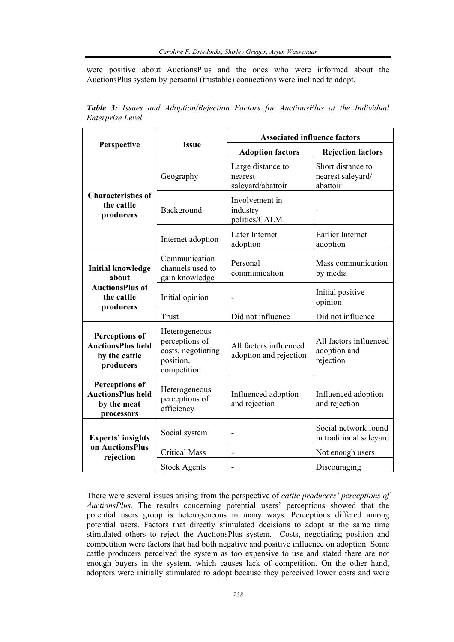were positive about AuctionsPlus and the ones who were informed about the AuctionsPlus system by personal (trustable) connections were inclined to adopt.

| Perspective                                                                            | <b>Issue</b>                                                                      | <b>Associated influence factors</b>               |                                                     |  |
|----------------------------------------------------------------------------------------|-----------------------------------------------------------------------------------|---------------------------------------------------|-----------------------------------------------------|--|
|                                                                                        |                                                                                   | <b>Adoption factors</b>                           | <b>Rejection factors</b>                            |  |
| <b>Characteristics of</b><br>the cattle<br>producers                                   | Geography                                                                         | Large distance to<br>nearest<br>saleyard/abattoir | Short distance to<br>nearest saleyard/<br>abattoir  |  |
|                                                                                        | Background                                                                        | Involvement in<br>industry<br>politics/CALM       |                                                     |  |
|                                                                                        | Internet adoption                                                                 | Later Internet<br>adoption                        | Earlier Internet<br>adoption                        |  |
| <b>Initial knowledge</b><br>about<br><b>AuctionsPlus of</b><br>the cattle<br>producers | Communication<br>channels used to<br>gain knowledge                               | Personal<br>communication                         | Mass communication<br>by media                      |  |
|                                                                                        | Initial opinion                                                                   |                                                   | Initial positive<br>opinion                         |  |
|                                                                                        | Trust                                                                             | Did not influence                                 | Did not influence                                   |  |
| <b>Perceptions of</b><br><b>AuctionsPlus held</b><br>by the cattle<br>producers        | Heterogeneous<br>perceptions of<br>costs, negotiating<br>position,<br>competition | All factors influenced<br>adoption and rejection  | All factors influenced<br>adoption and<br>rejection |  |
| <b>Perceptions of</b><br><b>AuctionsPlus held</b><br>by the meat<br>processors         | Heterogeneous<br>perceptions of<br>efficiency                                     | Influenced adoption<br>and rejection              | Influenced adoption<br>and rejection                |  |
| <b>Experts' insights</b><br>on AuctionsPlus<br>rejection                               | Social system                                                                     |                                                   | Social network found<br>in traditional saleyard     |  |
|                                                                                        | <b>Critical Mass</b>                                                              | $\qquad \qquad \blacksquare$                      | Not enough users                                    |  |
|                                                                                        | <b>Stock Agents</b>                                                               |                                                   | Discouraging                                        |  |

*Table 3: Issues and Adoption/Rejection Factors for AuctionsPlus at the Individual Enterprise Level* 

There were several issues arising from the perspective of *cattle producers' perceptions of AuctionsPlus.* The results concerning potential users' perceptions showed that the potential users group is heterogeneous in many ways. Perceptions differed among potential users. Factors that directly stimulated decisions to adopt at the same time stimulated others to reject the AuctionsPlus system. Costs, negotiating position and competition were factors that had both negative and positive influence on adoption. Some cattle producers perceived the system as too expensive to use and stated there are not enough buyers in the system, which causes lack of competition. On the other hand, adopters were initially stimulated to adopt because they perceived lower costs and were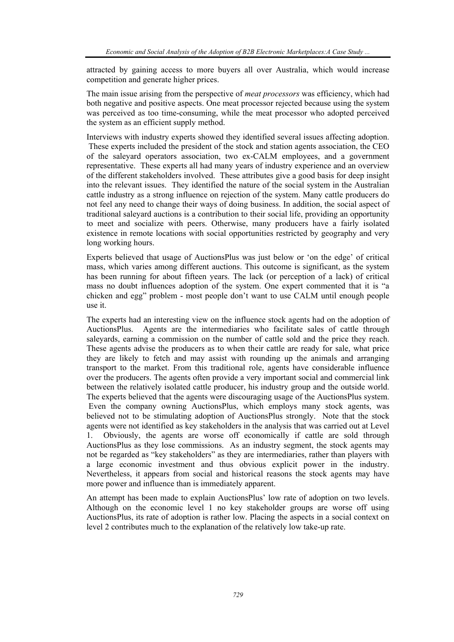attracted by gaining access to more buyers all over Australia, which would increase competition and generate higher prices.

The main issue arising from the perspective of *meat processors* was efficiency, which had both negative and positive aspects. One meat processor rejected because using the system was perceived as too time-consuming, while the meat processor who adopted perceived the system as an efficient supply method.

Interviews with industry experts showed they identified several issues affecting adoption. These experts included the president of the stock and station agents association, the CEO of the saleyard operators association, two ex-CALM employees, and a government representative. These experts all had many years of industry experience and an overview of the different stakeholders involved. These attributes give a good basis for deep insight into the relevant issues. They identified the nature of the social system in the Australian cattle industry as a strong influence on rejection of the system. Many cattle producers do not feel any need to change their ways of doing business. In addition, the social aspect of traditional saleyard auctions is a contribution to their social life, providing an opportunity to meet and socialize with peers. Otherwise, many producers have a fairly isolated existence in remote locations with social opportunities restricted by geography and very long working hours.

Experts believed that usage of AuctionsPlus was just below or 'on the edge' of critical mass, which varies among different auctions. This outcome is significant, as the system has been running for about fifteen years. The lack (or perception of a lack) of critical mass no doubt influences adoption of the system. One expert commented that it is "a chicken and egg" problem - most people don't want to use CALM until enough people use it.

The experts had an interesting view on the influence stock agents had on the adoption of AuctionsPlus. Agents are the intermediaries who facilitate sales of cattle through saleyards, earning a commission on the number of cattle sold and the price they reach. These agents advise the producers as to when their cattle are ready for sale, what price they are likely to fetch and may assist with rounding up the animals and arranging transport to the market. From this traditional role, agents have considerable influence over the producers. The agents often provide a very important social and commercial link between the relatively isolated cattle producer, his industry group and the outside world. The experts believed that the agents were discouraging usage of the AuctionsPlus system. Even the company owning AuctionsPlus, which employs many stock agents, was believed not to be stimulating adoption of AuctionsPlus strongly. Note that the stock agents were not identified as key stakeholders in the analysis that was carried out at Level 1. Obviously, the agents are worse off economically if cattle are sold through AuctionsPlus as they lose commissions. As an industry segment, the stock agents may not be regarded as "key stakeholders" as they are intermediaries, rather than players with a large economic investment and thus obvious explicit power in the industry. Nevertheless, it appears from social and historical reasons the stock agents may have more power and influence than is immediately apparent.

An attempt has been made to explain AuctionsPlus' low rate of adoption on two levels. Although on the economic level 1 no key stakeholder groups are worse off using AuctionsPlus, its rate of adoption is rather low. Placing the aspects in a social context on level 2 contributes much to the explanation of the relatively low take-up rate.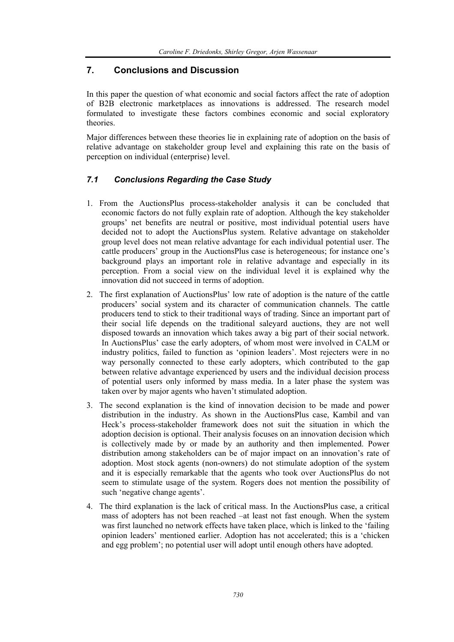# **7. Conclusions and Discussion**

In this paper the question of what economic and social factors affect the rate of adoption of B2B electronic marketplaces as innovations is addressed. The research model formulated to investigate these factors combines economic and social exploratory theories.

Major differences between these theories lie in explaining rate of adoption on the basis of relative advantage on stakeholder group level and explaining this rate on the basis of perception on individual (enterprise) level.

## *7.1 Conclusions Regarding the Case Study*

- 1. From the AuctionsPlus process-stakeholder analysis it can be concluded that economic factors do not fully explain rate of adoption. Although the key stakeholder groups' net benefits are neutral or positive, most individual potential users have decided not to adopt the AuctionsPlus system. Relative advantage on stakeholder group level does not mean relative advantage for each individual potential user. The cattle producers' group in the AuctionsPlus case is heterogeneous; for instance one's background plays an important role in relative advantage and especially in its perception. From a social view on the individual level it is explained why the innovation did not succeed in terms of adoption.
- 2. The first explanation of AuctionsPlus' low rate of adoption is the nature of the cattle producers' social system and its character of communication channels. The cattle producers tend to stick to their traditional ways of trading. Since an important part of their social life depends on the traditional saleyard auctions, they are not well disposed towards an innovation which takes away a big part of their social network. In AuctionsPlus' case the early adopters, of whom most were involved in CALM or industry politics, failed to function as 'opinion leaders'. Most rejecters were in no way personally connected to these early adopters, which contributed to the gap between relative advantage experienced by users and the individual decision process of potential users only informed by mass media. In a later phase the system was taken over by major agents who haven't stimulated adoption.
- 3. The second explanation is the kind of innovation decision to be made and power distribution in the industry. As shown in the AuctionsPlus case, Kambil and van Heck's process-stakeholder framework does not suit the situation in which the adoption decision is optional. Their analysis focuses on an innovation decision which is collectively made by or made by an authority and then implemented. Power distribution among stakeholders can be of major impact on an innovation's rate of adoption. Most stock agents (non-owners) do not stimulate adoption of the system and it is especially remarkable that the agents who took over AuctionsPlus do not seem to stimulate usage of the system. Rogers does not mention the possibility of such 'negative change agents'.
- 4. The third explanation is the lack of critical mass. In the AuctionsPlus case, a critical mass of adopters has not been reached –at least not fast enough. When the system was first launched no network effects have taken place, which is linked to the 'failing opinion leaders' mentioned earlier. Adoption has not accelerated; this is a 'chicken and egg problem'; no potential user will adopt until enough others have adopted.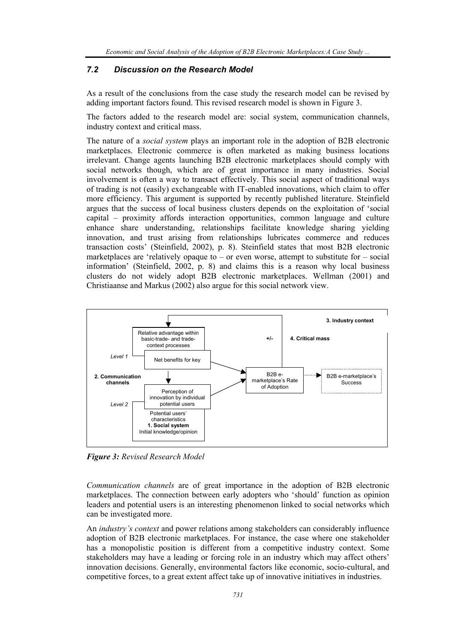## *7.2 Discussion on the Research Model*

As a result of the conclusions from the case study the research model can be revised by adding important factors found. This revised research model is shown in Figure 3.

The factors added to the research model are: social system, communication channels, industry context and critical mass.

The nature of a *social system* plays an important role in the adoption of B2B electronic marketplaces. Electronic commerce is often marketed as making business locations irrelevant. Change agents launching B2B electronic marketplaces should comply with social networks though, which are of great importance in many industries. Social involvement is often a way to transact effectively. This social aspect of traditional ways of trading is not (easily) exchangeable with IT-enabled innovations, which claim to offer more efficiency. This argument is supported by recently published literature. Steinfield argues that the success of local business clusters depends on the exploitation of 'social capital – proximity affords interaction opportunities, common language and culture enhance share understanding, relationships facilitate knowledge sharing yielding innovation, and trust arising from relationships lubricates commerce and reduces transaction costs' (Steinfield, 2002), p. 8). Steinfield states that most B2B electronic marketplaces are 'relatively opaque to – or even worse, attempt to substitute for  $-$  social information' (Steinfield, 2002, p. 8) and claims this is a reason why local business clusters do not widely adopt B2B electronic marketplaces. Wellman (2001) and Christiaanse and Markus (2002) also argue for this social network view.



*Figure 3: Revised Research Model*

*Communication channels* are of great importance in the adoption of B2B electronic marketplaces. The connection between early adopters who 'should' function as opinion leaders and potential users is an interesting phenomenon linked to social networks which can be investigated more.

An *industry's context* and power relations among stakeholders can considerably influence adoption of B2B electronic marketplaces. For instance, the case where one stakeholder has a monopolistic position is different from a competitive industry context. Some stakeholders may have a leading or forcing role in an industry which may affect others' innovation decisions. Generally, environmental factors like economic, socio-cultural, and competitive forces, to a great extent affect take up of innovative initiatives in industries.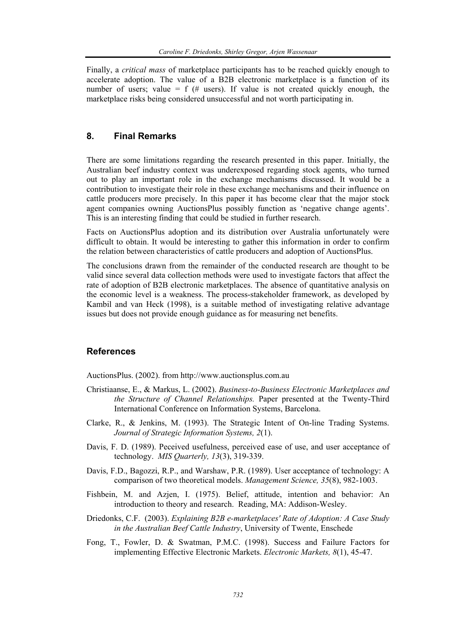Finally, a *critical mass* of marketplace participants has to be reached quickly enough to accelerate adoption. The value of a B2B electronic marketplace is a function of its number of users; value = f (# users). If value is not created quickly enough, the marketplace risks being considered unsuccessful and not worth participating in.

## **8. Final Remarks**

There are some limitations regarding the research presented in this paper. Initially, the Australian beef industry context was underexposed regarding stock agents, who turned out to play an important role in the exchange mechanisms discussed. It would be a contribution to investigate their role in these exchange mechanisms and their influence on cattle producers more precisely. In this paper it has become clear that the major stock agent companies owning AuctionsPlus possibly function as 'negative change agents'. This is an interesting finding that could be studied in further research.

Facts on AuctionsPlus adoption and its distribution over Australia unfortunately were difficult to obtain. It would be interesting to gather this information in order to confirm the relation between characteristics of cattle producers and adoption of AuctionsPlus.

The conclusions drawn from the remainder of the conducted research are thought to be valid since several data collection methods were used to investigate factors that affect the rate of adoption of B2B electronic marketplaces. The absence of quantitative analysis on the economic level is a weakness. The process-stakeholder framework, as developed by Kambil and van Heck (1998), is a suitable method of investigating relative advantage issues but does not provide enough guidance as for measuring net benefits.

## **References**

AuctionsPlus. (2002). from http://www.auctionsplus.com.au

- Christiaanse, E., & Markus, L. (2002). *Business-to-Business Electronic Marketplaces and the Structure of Channel Relationships.* Paper presented at the Twenty-Third International Conference on Information Systems, Barcelona.
- Clarke, R., & Jenkins, M. (1993). The Strategic Intent of On-line Trading Systems. *Journal of Strategic Information Systems, 2*(1).
- Davis, F. D. (1989). Peceived usefulness, perceived ease of use, and user acceptance of technology. *MIS Quarterly, 13*(3), 319-339.
- Davis, F.D., Bagozzi, R.P., and Warshaw, P.R. (1989). User acceptance of technology: A comparison of two theoretical models. *Management Science, 35*(8), 982-1003.
- Fishbein, M. and Azjen, I. (1975). Belief, attitude, intention and behavior: An introduction to theory and research. Reading, MA: Addison-Wesley.
- Driedonks, C.F. (2003). *Explaining B2B e-marketplaces' Rate of Adoption: A Case Study in the Australian Beef Cattle Industry*, University of Twente, Enschede
- Fong, T., Fowler, D. & Swatman, P.M.C. (1998). Success and Failure Factors for implementing Effective Electronic Markets. *Electronic Markets, 8*(1), 45-47.